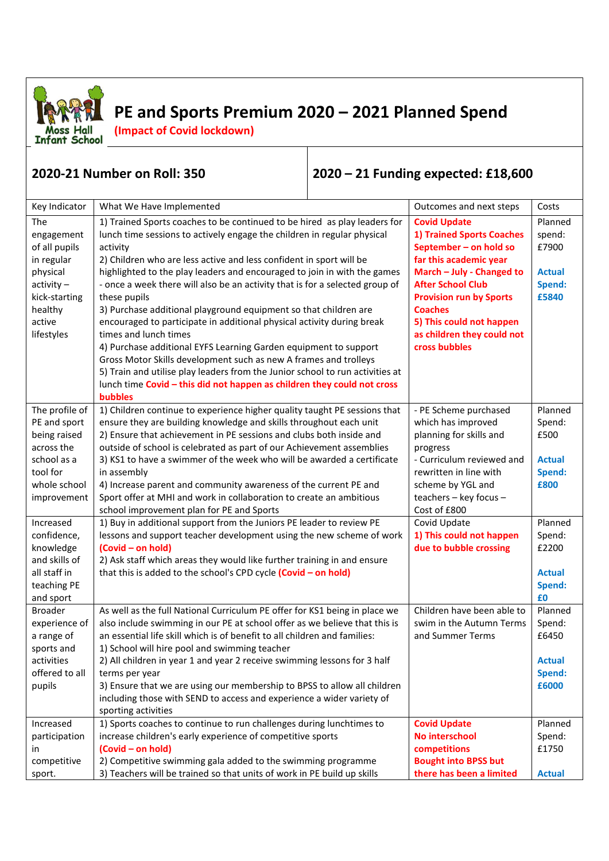

## **PE and Sports Premium 2020 – 2021 Planned Spend**

**(Impact of Covid lockdown)**

## **2020-21 Number on Roll: 350 2020 – 21 Funding expected: £18,600**

| Key Indicator  | What We Have Implemented                                                      | Outcomes and next steps        | Costs         |
|----------------|-------------------------------------------------------------------------------|--------------------------------|---------------|
| <b>The</b>     | 1) Trained Sports coaches to be continued to be hired as play leaders for     | <b>Covid Update</b>            | Planned       |
| engagement     | lunch time sessions to actively engage the children in regular physical       | 1) Trained Sports Coaches      | spend:        |
| of all pupils  | activity                                                                      | September - on hold so         | £7900         |
| in regular     | 2) Children who are less active and less confident in sport will be           | far this academic year         |               |
| physical       | highlighted to the play leaders and encouraged to join in with the games      | March - July - Changed to      | <b>Actual</b> |
| $activity -$   | - once a week there will also be an activity that is for a selected group of  | <b>After School Club</b>       | Spend:        |
| kick-starting  | these pupils                                                                  | <b>Provision run by Sports</b> | £5840         |
| healthy        | 3) Purchase additional playground equipment so that children are              | <b>Coaches</b>                 |               |
| active         | encouraged to participate in additional physical activity during break        | 5) This could not happen       |               |
| lifestyles     | times and lunch times                                                         | as children they could not     |               |
|                | 4) Purchase additional EYFS Learning Garden equipment to support              | cross bubbles                  |               |
|                | Gross Motor Skills development such as new A frames and trolleys              |                                |               |
|                | 5) Train and utilise play leaders from the Junior school to run activities at |                                |               |
|                | lunch time Covid - this did not happen as children they could not cross       |                                |               |
|                | bubbles                                                                       |                                |               |
| The profile of | 1) Children continue to experience higher quality taught PE sessions that     | - PE Scheme purchased          | Planned       |
| PE and sport   | ensure they are building knowledge and skills throughout each unit            | which has improved             | Spend:        |
| being raised   | 2) Ensure that achievement in PE sessions and clubs both inside and           | planning for skills and        | £500          |
| across the     | outside of school is celebrated as part of our Achievement assemblies         | progress                       |               |
| school as a    | 3) KS1 to have a swimmer of the week who will be awarded a certificate        | - Curriculum reviewed and      | <b>Actual</b> |
| tool for       | in assembly                                                                   | rewritten in line with         | Spend:        |
| whole school   | 4) Increase parent and community awareness of the current PE and              | scheme by YGL and              | £800          |
| improvement    | Sport offer at MHI and work in collaboration to create an ambitious           | teachers - key focus -         |               |
|                | school improvement plan for PE and Sports                                     | Cost of £800                   |               |
| Increased      | 1) Buy in additional support from the Juniors PE leader to review PE          | Covid Update                   | Planned       |
| confidence,    | lessons and support teacher development using the new scheme of work          | 1) This could not happen       | Spend:        |
| knowledge      | (Covid - on hold)                                                             | due to bubble crossing         | £2200         |
| and skills of  | 2) Ask staff which areas they would like further training in and ensure       |                                |               |
| all staff in   | that this is added to the school's CPD cycle (Covid - on hold)                |                                | <b>Actual</b> |
| teaching PE    |                                                                               |                                | Spend:        |
| and sport      |                                                                               |                                | £0            |
| <b>Broader</b> | As well as the full National Curriculum PE offer for KS1 being in place we    | Children have been able to     | Planned       |
| experience of  | also include swimming in our PE at school offer as we believe that this is    | swim in the Autumn Terms       | Spend:        |
| a range of     | an essential life skill which is of benefit to all children and families:     | and Summer Terms               | £6450         |
| sports and     | 1) School will hire pool and swimming teacher                                 |                                |               |
| activities     | 2) All children in year 1 and year 2 receive swimming lessons for 3 half      |                                | <b>Actual</b> |
| offered to all | terms per year                                                                |                                | Spend:        |
| pupils         | 3) Ensure that we are using our membership to BPSS to allow all children      |                                | £6000         |
|                | including those with SEND to access and experience a wider variety of         |                                |               |
|                | sporting activities                                                           |                                |               |
| Increased      | 1) Sports coaches to continue to run challenges during lunchtimes to          | <b>Covid Update</b>            | Planned       |
| participation  | increase children's early experience of competitive sports                    | No interschool                 | Spend:        |
| in             | (Covid - on hold)                                                             | competitions                   | £1750         |
| competitive    | 2) Competitive swimming gala added to the swimming programme                  | <b>Bought into BPSS but</b>    |               |
| sport.         | 3) Teachers will be trained so that units of work in PE build up skills       | there has been a limited       | <b>Actual</b> |